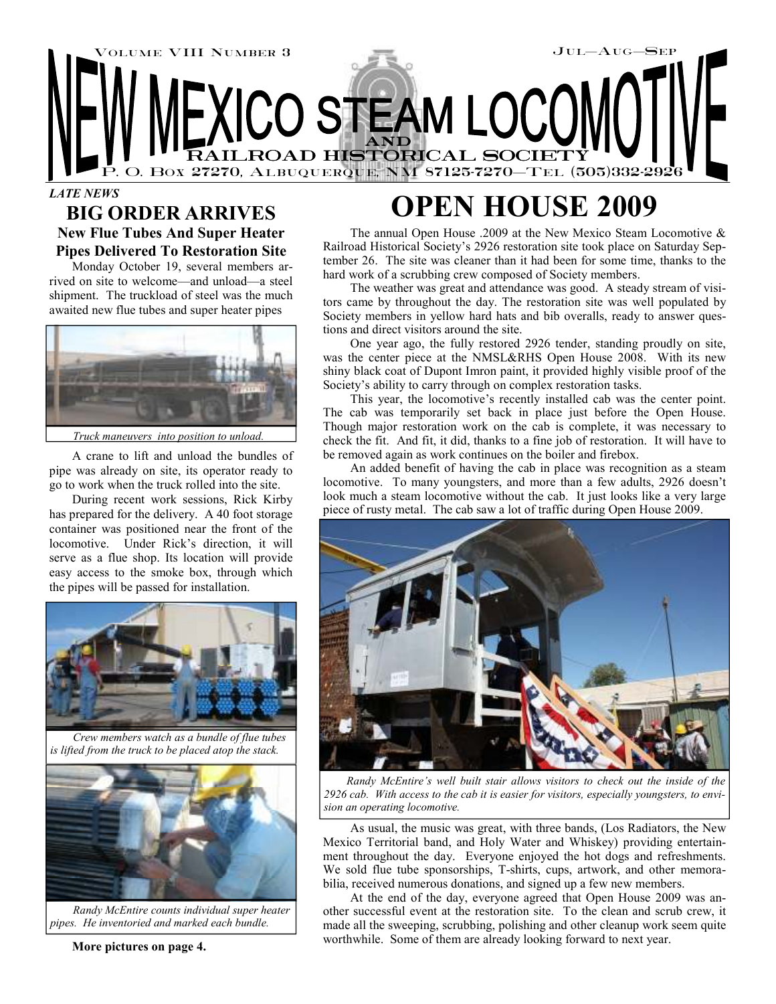

# **BIG ORDER ARRIVES**

**New Flue Tubes And Super Heater Pipes Delivered To Restoration Site** 

Monday October 19, several members arrived on site to welcome—and unload—a steel shipment. The truckload of steel was the much awaited new flue tubes and super heater pipes



*Truck maneuvers into position to unload.* 

A crane to lift and unload the bundles of pipe was already on site, its operator ready to go to work when the truck rolled into the site.

During recent work sessions, Rick Kirby has prepared for the delivery. A 40 foot storage container was positioned near the front of the locomotive. Under Rick's direction, it will serve as a flue shop. Its location will provide easy access to the smoke box, through which the pipes will be passed for installation.



*Crew members watch as a bundle of flue tubes is lifted from the truck to be placed atop the stack.* 



*Randy McEntire counts individual super heater pipes. He inventoried and marked each bundle.* 

#### **More pictures on page 4.**

## **OPEN HOUSE 2009**

The annual Open House .2009 at the New Mexico Steam Locomotive & Railroad Historical Society's 2926 restoration site took place on Saturday September 26. The site was cleaner than it had been for some time, thanks to the hard work of a scrubbing crew composed of Society members.

The weather was great and attendance was good. A steady stream of visitors came by throughout the day. The restoration site was well populated by Society members in yellow hard hats and bib overalls, ready to answer questions and direct visitors around the site.

One year ago, the fully restored 2926 tender, standing proudly on site, was the center piece at the NMSL&RHS Open House 2008. With its new shiny black coat of Dupont Imron paint, it provided highly visible proof of the Society's ability to carry through on complex restoration tasks.

This year, the locomotive's recently installed cab was the center point. The cab was temporarily set back in place just before the Open House. Though major restoration work on the cab is complete, it was necessary to check the fit. And fit, it did, thanks to a fine job of restoration. It will have to be removed again as work continues on the boiler and firebox.

An added benefit of having the cab in place was recognition as a steam locomotive. To many youngsters, and more than a few adults, 2926 doesn't look much a steam locomotive without the cab. It just looks like a very large piece of rusty metal. The cab saw a lot of traffic during Open House 2009.



*Randy McEntire's well built stair allows visitors to check out the inside of the 2926 cab. With access to the cab it is easier for visitors, especially youngsters, to envision an operating locomotive.* 

As usual, the music was great, with three bands, (Los Radiators, the New Mexico Territorial band, and Holy Water and Whiskey) providing entertainment throughout the day. Everyone enjoyed the hot dogs and refreshments. We sold flue tube sponsorships, T-shirts, cups, artwork, and other memorabilia, received numerous donations, and signed up a few new members.

At the end of the day, everyone agreed that Open House 2009 was another successful event at the restoration site. To the clean and scrub crew, it made all the sweeping, scrubbing, polishing and other cleanup work seem quite worthwhile. Some of them are already looking forward to next year.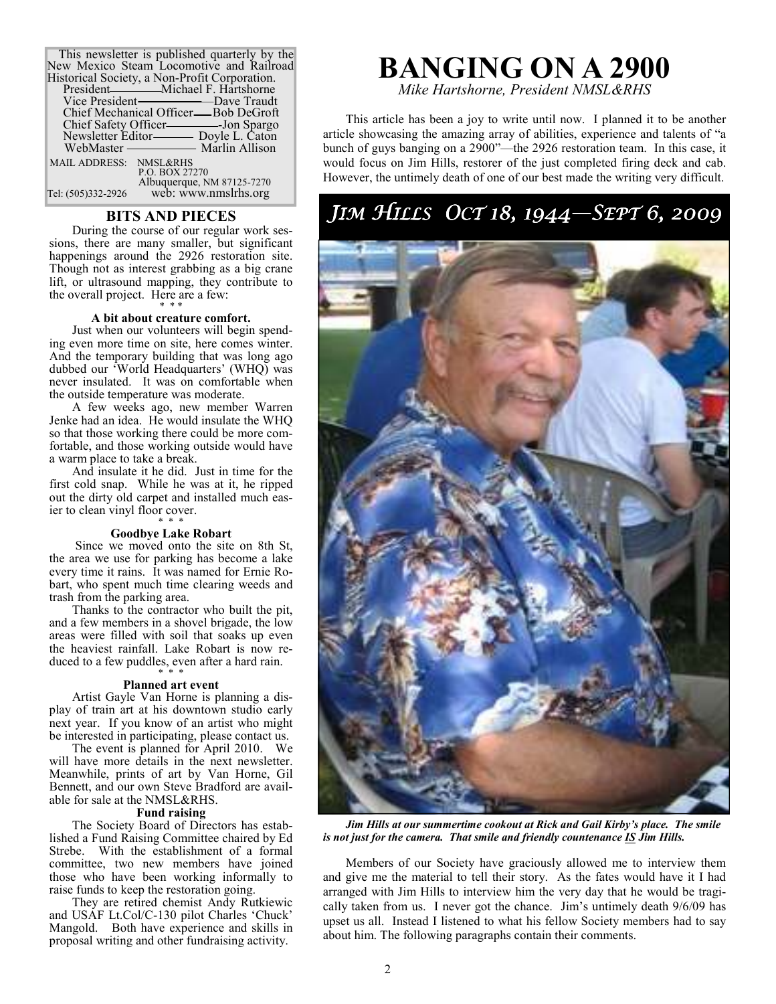| This newsletter is published quarterly by the<br>New Mexico Steam Locomotive and Railroad<br>Historical Society, a Non-Profit Corporation.<br>Chief Mechanical Officer—Bob DeGroft |
|------------------------------------------------------------------------------------------------------------------------------------------------------------------------------------|
|                                                                                                                                                                                    |
| MAIL ADDRESS: NMSL&RHS<br>P.O. BOX 27270                                                                                                                                           |
| Albuquerque, NM 87125-7270                                                                                                                                                         |
| web: www.nmslrhs.org<br>Tel: (505)332-2926                                                                                                                                         |

#### **BITS AND PIECES**

During the course of our regular work sessions, there are many smaller, but significant happenings around the 2926 restoration site. Though not as interest grabbing as a big crane lift, or ultrasound mapping, they contribute to the overall project. Here are a few:

#### \* \* \* **A bit about creature comfort.**

Just when our volunteers will begin spending even more time on site, here comes winter. And the temporary building that was long ago dubbed our 'World Headquarters' (WHQ) was never insulated. It was on comfortable when the outside temperature was moderate.

A few weeks ago, new member Warren Jenke had an idea. He would insulate the WHQ so that those working there could be more comfortable, and those working outside would have a warm place to take a break.

And insulate it he did. Just in time for the first cold snap. While he was at it, he ripped out the dirty old carpet and installed much easier to clean vinyl floor cover.

#### \* \* \* **Goodbye Lake Robart**

 Since we moved onto the site on 8th St, the area we use for parking has become a lake every time it rains. It was named for Ernie Robart, who spent much time clearing weeds and trash from the parking area.

Thanks to the contractor who built the pit, and a few members in a shovel brigade, the low areas were filled with soil that soaks up even the heaviest rainfall. Lake Robart is now reduced to a few puddles, even after a hard rain. \* \* \*

#### **Planned art event**

Artist Gayle Van Horne is planning a display of train art at his downtown studio early next year. If you know of an artist who might be interested in participating, please contact us.

The event is planned for April 2010. We will have more details in the next newsletter. Meanwhile, prints of art by Van Horne, Gil Bennett, and our own Steve Bradford are available for sale at the NMSL&RHS.

#### **Fund raising**

The Society Board of Directors has established a Fund Raising Committee chaired by Ed Strebe. With the establishment of a formal committee, two new members have joined those who have been working informally to raise funds to keep the restoration going.

They are retired chemist Andy Rutkiewic and USAF Lt.Col/C-130 pilot Charles 'Chuck' Mangold. Both have experience and skills in proposal writing and other fundraising activity.

# **BANGING ON A 2900**

*Mike Hartshorne, President NMSL&RHS* 

This article has been a joy to write until now. I planned it to be another article showcasing the amazing array of abilities, experience and talents of "a bunch of guys banging on a 2900"—the 2926 restoration team. In this case, it would focus on Jim Hills, restorer of the just completed firing deck and cab. However, the untimely death of one of our best made the writing very difficult.

### JIM HILLS OCT 18, 1944—SEPT 6, 2009



*Jim Hills at our summertime cookout at Rick and Gail Kirby's place. The smile is not just for the camera. That smile and friendly countenance IS Jim Hills.* 

Members of our Society have graciously allowed me to interview them and give me the material to tell their story. As the fates would have it I had arranged with Jim Hills to interview him the very day that he would be tragically taken from us. I never got the chance. Jim's untimely death 9/6/09 has upset us all. Instead I listened to what his fellow Society members had to say about him. The following paragraphs contain their comments.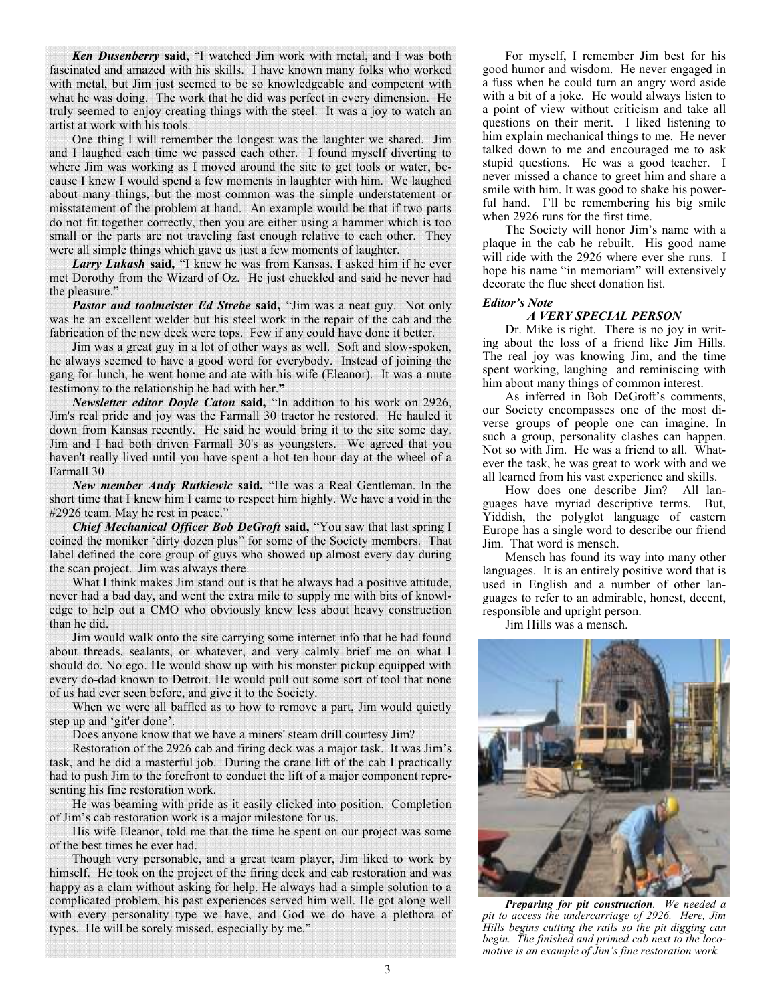*Ken Dusenberry* **said**, "I watched Jim work with metal, and I was both fascinated and amazed with his skills. I have known many folks who worked with metal, but Jim just seemed to be so knowledgeable and competent with what he was doing. The work that he did was perfect in every dimension. He truly seemed to enjoy creating things with the steel. It was a joy to watch an artist at work with his tools.

One thing I will remember the longest was the laughter we shared. Jim and I laughed each time we passed each other. I found myself diverting to where Jim was working as I moved around the site to get tools or water, because I knew I would spend a few moments in laughter with him. We laughed about many things, but the most common was the simple understatement or misstatement of the problem at hand. An example would be that if two parts do not fit together correctly, then you are either using a hammer which is too small or the parts are not traveling fast enough relative to each other. They were all simple things which gave us just a few moments of laughter.

*Larry Lukash* **said,** "I knew he was from Kansas. I asked him if he ever met Dorothy from the Wizard of Oz. He just chuckled and said he never had the pleasure."

*Pastor and toolmeister Ed Strebe* **said,** "Jim was a neat guy. Not only was he an excellent welder but his steel work in the repair of the cab and the fabrication of the new deck were tops. Few if any could have done it better.

Jim was a great guy in a lot of other ways as well. Soft and slow-spoken, he always seemed to have a good word for everybody. Instead of joining the gang for lunch, he went home and ate with his wife (Eleanor). It was a mute testimony to the relationship he had with her.**"**

*Newsletter editor Doyle Caton* **said,** "In addition to his work on 2926, Jim's real pride and joy was the Farmall 30 tractor he restored. He hauled it down from Kansas recently. He said he would bring it to the site some day. Jim and I had both driven Farmall 30's as youngsters. We agreed that you haven't really lived until you have spent a hot ten hour day at the wheel of a Farmall 30

*New member Andy Rutkiewic* **said,** "He was a Real Gentleman. In the short time that I knew him I came to respect him highly. We have a void in the #2926 team. May he rest in peace."

*Chief Mechanical Officer Bob DeGroft* **said,** "You saw that last spring I coined the moniker 'dirty dozen plus" for some of the Society members. That label defined the core group of guys who showed up almost every day during the scan project. Jim was always there.

What I think makes Jim stand out is that he always had a positive attitude, never had a bad day, and went the extra mile to supply me with bits of knowledge to help out a CMO who obviously knew less about heavy construction than he did.

Jim would walk onto the site carrying some internet info that he had found about threads, sealants, or whatever, and very calmly brief me on what I should do. No ego. He would show up with his monster pickup equipped with every do-dad known to Detroit. He would pull out some sort of tool that none of us had ever seen before, and give it to the Society.

When we were all baffled as to how to remove a part, Jim would quietly step up and 'git'er done'.

Does anyone know that we have a miners' steam drill courtesy Jim?

Restoration of the 2926 cab and firing deck was a major task. It was Jim's task, and he did a masterful job. During the crane lift of the cab I practically had to push Jim to the forefront to conduct the lift of a major component representing his fine restoration work.

He was beaming with pride as it easily clicked into position. Completion of Jim's cab restoration work is a major milestone for us.

His wife Eleanor, told me that the time he spent on our project was some of the best times he ever had.

Though very personable, and a great team player, Jim liked to work by himself. He took on the project of the firing deck and cab restoration and was happy as a clam without asking for help. He always had a simple solution to a complicated problem, his past experiences served him well. He got along well with every personality type we have, and God we do have a plethora of types. He will be sorely missed, especially by me."

For myself, I remember Jim best for his good humor and wisdom. He never engaged in a fuss when he could turn an angry word aside with a bit of a joke. He would always listen to a point of view without criticism and take all questions on their merit. I liked listening to him explain mechanical things to me. He never talked down to me and encouraged me to ask stupid questions. He was a good teacher. I never missed a chance to greet him and share a smile with him. It was good to shake his powerful hand. I'll be remembering his big smile when 2926 runs for the first time.

The Society will honor Jim's name with a plaque in the cab he rebuilt. His good name will ride with the 2926 where ever she runs. I hope his name "in memoriam" will extensively decorate the flue sheet donation list.

#### *Editor's Note*

#### *A VERY SPECIAL PERSON*

Dr. Mike is right. There is no joy in writing about the loss of a friend like Jim Hills. The real joy was knowing Jim, and the time spent working, laughing and reminiscing with him about many things of common interest.

As inferred in Bob DeGroft's comments, our Society encompasses one of the most diverse groups of people one can imagine. In such a group, personality clashes can happen. Not so with Jim. He was a friend to all. Whatever the task, he was great to work with and we all learned from his vast experience and skills.

How does one describe Jim? All languages have myriad descriptive terms. But, Yiddish, the polyglot language of eastern Europe has a single word to describe our friend Jim. That word is mensch.

Mensch has found its way into many other languages. It is an entirely positive word that is used in English and a number of other languages to refer to an admirable, honest, decent, responsible and upright person.

Jim Hills was a mensch.



*Preparing for pit construction. We needed a pit to access the undercarriage of 2926. Here, Jim Hills begins cutting the rails so the pit digging can begin. The finished and primed cab next to the locomotive is an example of Jim's fine restoration work.*